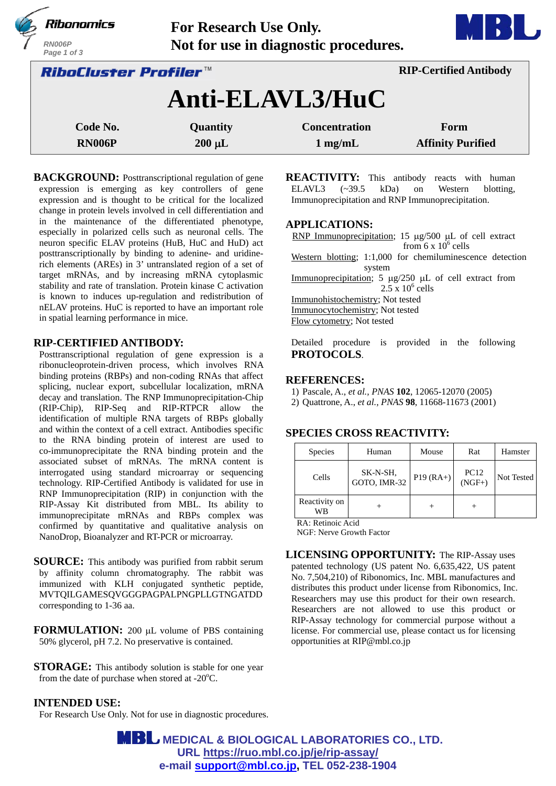|                              | Ribonomics<br>RN006P<br>Page 1 of 3 | Not for use in diagnostic procedures. |                                   |                                  |  |  |
|------------------------------|-------------------------------------|---------------------------------------|-----------------------------------|----------------------------------|--|--|
| <i>RiboCluster Profiler™</i> |                                     |                                       | <b>RIP-Certified Antibody</b>     |                                  |  |  |
|                              | Anti-ELAVL3/HuC                     |                                       |                                   |                                  |  |  |
|                              | Code No.<br><b>RN006P</b>           | Quantity<br>$200 \mu L$               | <b>Concentration</b><br>$1$ mg/mL | Form<br><b>Affinity Purified</b> |  |  |

**BACKGROUND:** Posttranscriptional regulation of gene expression is emerging as key controllers of gene expression and is thought to be critical for the localized change in protein levels involved in cell differentiation and in the maintenance of the differentiated phenotype, especially in polarized cells such as neuronal cells. The neuron specific ELAV proteins (HuB, HuC and HuD) act posttranscriptionally by binding to adenine- and uridinerich elements (AREs) in 3' untranslated region of a set of target mRNAs, and by increasing mRNA cytoplasmic stability and rate of translation. Protein kinase C activation is known to induces up-regulation and redistribution of nELAV proteins. HuC is reported to have an important role in spatial learning performance in mice.

### **RIP-CERTIFIED ANTIBODY:**

Posttranscriptional regulation of gene expression is a ribonucleoprotein-driven process, which involves RNA binding proteins (RBPs) and non-coding RNAs that affect splicing, nuclear export, subcellular localization, mRNA decay and translation. The RNP Immunoprecipitation-Chip (RIP-Chip), RIP-Seq and RIP-RTPCR allow the identification of multiple RNA targets of RBPs globally and within the context of a cell extract. Antibodies specific to the RNA binding protein of interest are used to co-immunoprecipitate the RNA binding protein and the associated subset of mRNAs. The mRNA content is interrogated using standard microarray or sequencing technology. RIP-Certified Antibody is validated for use in RNP Immunoprecipitation (RIP) in conjunction with the RIP-Assay Kit distributed from MBL. Its ability to immunoprecipitate mRNAs and RBPs complex was confirmed by quantitative and qualitative analysis on NanoDrop, Bioanalyzer and RT-PCR or microarray.

**SOURCE:** This antibody was purified from rabbit serum by affinity column chromatography. The rabbit was immunized with KLH conjugated synthetic peptide, MVTQILGAMESQVGGGPAGPALPNGPLLGTNGATDD corresponding to 1-36 aa.

**FORMULATION:** 200 µL volume of PBS containing 50% glycerol, pH 7.2. No preservative is contained.

**STORAGE:** This antibody solution is stable for one year from the date of purchase when stored at  $-20^{\circ}$ C.

### **REACTIVITY:** This antibody reacts with human ELAVL3 (~39.5 kDa) on Western blotting, Immunoprecipitation and RNP Immunoprecipitation.

#### **APPLICATIONS:**

RNP Immunoprecipitation; 15  $\mu$ g/500  $\mu$ L of cell extract from  $6 \times 10^6$  cells Western blotting; 1:1,000 for chemiluminescence detection system Immunoprecipitation;  $5 \mu g/250 \mu L$  of cell extract from  $2.5 \times 10^6$  cells Immunohistochemistry; Not tested Immunocytochemistry; Not tested Flow cytometry; Not tested

Detailed procedure is provided in the following **PROTOCOLS**.

#### **REFERENCES:**

- 1) Pascale, A., *et al., PNAS* **102**, 12065-12070 (2005)
- 2) Quattrone, A., *et al., PNAS* **98**, 11668-11673 (2001)

### **SPECIES CROSS REACTIVITY:**

| <b>Species</b>      | Human                    | Mouse       | Rat              | Hamster    |
|---------------------|--------------------------|-------------|------------------|------------|
| Cells               | SK-N-SH,<br>GOTO, IMR-32 | $P19 (RA+)$ | $PC12$<br>(NGF+) | Not Tested |
| Reactivity on<br>WВ |                          |             |                  |            |

RA: Retinoic Acid

NGF: Nerve Growth Factor

**LICENSING OPPORTUNITY:** The RIP-Assay uses patented technology (US patent No. 6,635,422, US patent No. 7,504,210) of Ribonomics, Inc. MBL manufactures and distributes this product under license from Ribonomics, Inc. Researchers may use this product for their own research. Researchers are not allowed to use this product or RIP-Assay technology for commercial purpose without a license. For commercial use, please contact us for licensing opportunities at RIP@mbl.co.jp

#### **INTENDED USE:**

For Research Use Only. Not for use in diagnostic procedures.

**MBL** MEDICAL & BIOLOGICAL LABORATORIES CO., LTD. **URL https://ruo.mbl.co.jp/je/rip-assay/ e-mail support@mbl.co.jp, TEL 052-238-1904**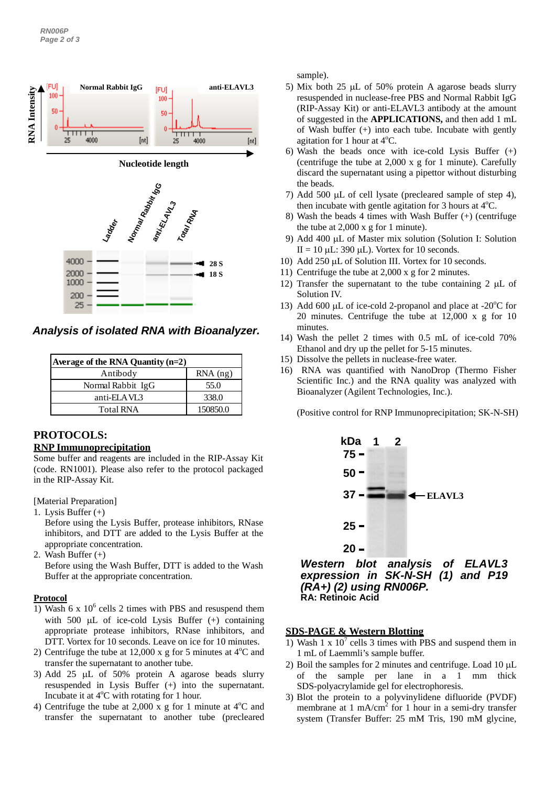

*Analysis of isolated RNA with Bioanalyzer.*

| Average of the RNA Quantity $(n=2)$ |            |  |
|-------------------------------------|------------|--|
| Antibody                            | $RNA$ (ng) |  |
| Normal Rabbit IgG                   | 55.0       |  |
| anti-ELAVL3                         | 338.0      |  |
| <b>Total RNA</b>                    | 150850.0   |  |

## **PROTOCOLS: RNP Immunoprecipitation**

Some buffer and reagents are included in the RIP-Assay Kit (code. RN1001). Please also refer to the protocol packaged in the RIP-Assay Kit.

[Material Preparation]

- 1. Lysis Buffer (+) Before using the Lysis Buffer, protease inhibitors, RNase inhibitors, and DTT are added to the Lysis Buffer at the appropriate concentration.
- 2. Wash Buffer (+)

Before using the Wash Buffer, DTT is added to the Wash Buffer at the appropriate concentration.

## **Protocol**

- 1) Wash 6 x  $10^6$  cells 2 times with PBS and resuspend them with 500  $\mu$ L of ice-cold Lysis Buffer  $(+)$  containing appropriate protease inhibitors, RNase inhibitors, and DTT. Vortex for 10 seconds. Leave on ice for 10 minutes.
- 2) Centrifuge the tube at  $12,000 \times g$  for 5 minutes at  $4^{\circ}$ C and transfer the supernatant to another tube.
- 3) Add 25  $\mu$ L of 50% protein A agarose beads slurry resuspended in Lysis Buffer (+) into the supernatant. Incubate it at 4°C with rotating for 1 hour.
- 4) Centrifuge the tube at 2,000 x g for 1 minute at  $4^{\circ}$ C and transfer the supernatant to another tube (precleared

sample).

- 5) Mix both 25  $\mu$ L of 50% protein A agarose beads slurry resuspended in nuclease-free PBS and Normal Rabbit IgG (RIP-Assay Kit) or anti-ELAVL3 antibody at the amount of suggested in the **APPLICATIONS,** and then add 1 mL of Wash buffer (+) into each tube. Incubate with gently agitation for 1 hour at  $4^{\circ}$ C.
- 6) Wash the beads once with ice-cold Lysis Buffer (+) (centrifuge the tube at 2,000 x g for 1 minute). Carefully discard the supernatant using a pipettor without disturbing the beads.
- 7) Add 500  $\mu$ L of cell lysate (precleared sample of step 4), then incubate with gentle agitation for 3 hours at  $4^{\circ}$ C.
- 8) Wash the beads 4 times with Wash Buffer (+) (centrifuge the tube at 2,000 x g for 1 minute).
- 9) Add 400 µL of Master mix solution (Solution I: Solution II = 10  $\mu$ L: 390  $\mu$ L). Vortex for 10 seconds.
- 10) Add 250 µL of Solution III. Vortex for 10 seconds.
- 11) Centrifuge the tube at 2,000 x g for 2 minutes.
- 12) Transfer the supernatant to the tube containing  $2 \mu L$  of Solution IV.
- 13) Add 600 µL of ice-cold 2-propanol and place at -20 $^{\circ}$ C for 20 minutes. Centrifuge the tube at 12,000 x g for 10 minutes.
- 14) Wash the pellet 2 times with 0.5 mL of ice-cold 70% Ethanol and dry up the pellet for 5-15 minutes.
- 15) Dissolve the pellets in nuclease-free water.
- 16) RNA was quantified with NanoDrop (Thermo Fisher Scientific Inc.) and the RNA quality was analyzed with Bioanalyzer (Agilent Technologies, Inc.).

(Positive control for RNP Immunoprecipitation; SK-N-SH)



### **SDS-PAGE & Western Blotting**

- 1) Wash 1 x  $10^7$  cells 3 times with PBS and suspend them in 1 mL of Laemmli's sample buffer.
- 2) Boil the samples for 2 minutes and centrifuge. Load  $10 \mu L$ of the sample per lane in a 1 mm thick SDS-polyacrylamide gel for electrophoresis.
- 3) Blot the protein to a polyvinylidene difluoride (PVDF) membrane at  $1 \text{ mA/cm}^2$  for  $1 \text{ hour}$  in a semi-dry transfer system (Transfer Buffer: 25 mM Tris, 190 mM glycine,